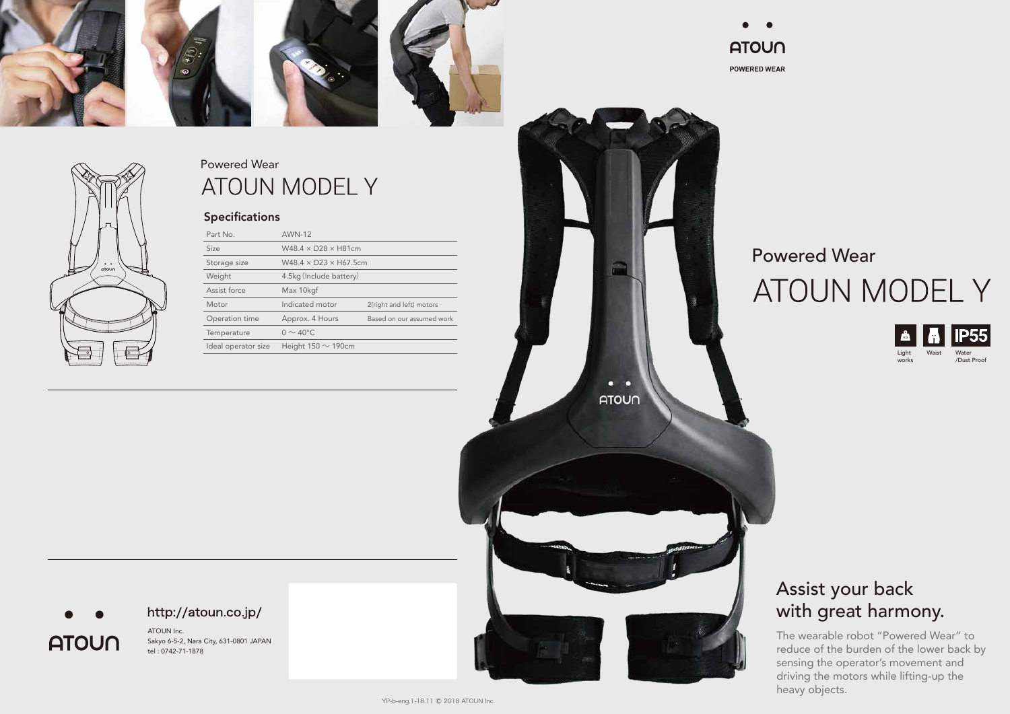



## Assist your back with great harmony.









Waist Water /Dust Proof

## Powered Wear ATOUN MODEL Y

The wearable robot "Powered Wear" to reduce of the burden of the lower back by sensing the operator's movement and driving the motors while lifting-up the heavy objects.

#### Specifications

ATOUN Inc. **ATOUN** 

| Part No.            | <b>AWN-12</b>                      |                           |
|---------------------|------------------------------------|---------------------------|
| <b>Size</b>         | $W48.4 \times D28 \times H81cm$    |                           |
| Storage size        | $W48.4 \times D23 \times H67.5$ cm |                           |
| Weight              | 4.5kg (Include battery)            |                           |
| Assist force        | Max 10kgf                          |                           |
| Motor               | Indicated motor                    | 2(right and left) motors  |
| Operation time      | Approx. 4 Hours                    | Based on our assumed work |
| Temperature         | $0 \sim 40^{\circ}$ C              |                           |
| Ideal operator size | Height 150 $\sim$ 190cm            |                           |
|                     |                                    |                           |





http://atoun.co.jp/

Sakyo 6-5-2, Nara City, 631-0801 JAPAN tel : 0742-71-1878



# Powered Wear ATOUN MODEL Y